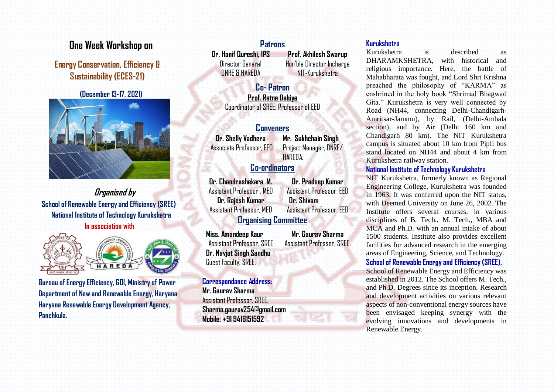# **One Week Workshop on**

# **Energy Conservation, Efficiency & Sustainability (ECES-21)**

 **(December 13-17, 2021)**



**Organised by School of Renewable Energy and Efficiency (SREE) National Institute of Technology Kurukshetra In association with** 



**Bureau of Energy Efficiency, GOI, Ministry of Power Department of New and Renewable Energy, Haryana Haryana Renewable Energy Development Agency, Panchkula.** 

# **Patrons Dr. Hanif Qureshi, IPS** Director General

DNRE & HAREDA

**Prof. Akhilesh Swarup** Hon'ble Director Incharge NIT-Kurukshetra

**Co- Patron Prof. Ratna Dahiya** Coordinator of SREE, Professor of EED

## **Conveners**

**Dr. Shelly Vadhera** Associate Professor, EED **Mr. Sukhchain Singh**  Project Manager, DNRE/ **HARFDA** 

# **Co-ordinators**

**Dr. Chandrashekara M.** Assistant Professor , MED **Dr. Rajesh Kumar** Assistant Professor, MED

**Dr. Pradeep Kumar** Assistant Professor, EED  **Dr. Shivam**  Assistant Professor, EED

# **Organising Committee**

**Miss. Amandeep Kaur** Assistant Professor, SREE **Dr. Navjot Singh Sandhu**  Guest Faculty, SREE.

**Mr. Gaurav Sharma** Assistant Professor, SREE.

# **Kurukshetra**

Kurukshetra is described as DHARAMKSHETRA, with historical and religious importance. Here, the battle of Mahabharata was fought, and Lord Shri Krishna preached the philosophy of "KARMA" as enshrined in the holy book "Shrimad Bhagwad Gita." Kurukshetra is very well connected by Road (NH44, connecting Delhi-Chandigarh-Amritsar-Jammu), by Rail, (Delhi-Ambala section), and by Air (Delhi 160 km and Chandigarh 80 km). The NIT Kurukshetra campus is situated about 10 km from Pipli bus stand located on NH44 and about 4 km from Kurukshetra railway station.

# **National Institute of Technology Kurukshetra**

NIT Kurukshetra, formerly known as Regional Engineering College, Kurukshetra was founded in 1963. It was conferred upon the NIT status, with Deemed University on June 26, 2002. The Institute offers several courses, in various disciplines of B. Tech., M. Tech., MBA and MCA and Ph.D. with an annual intake of about 1500 students. Institute also provides excellent facilities for advanced research in the emerging areas of Engineering, Science, and Technology.

## **School of Renewable Energy and Efficiency (SREE),**

School of Renewable Energy and Efficiency was established in 2012. The School offers M. Tech., and Ph.D. Degrees since its inception. Research and development activities on various relevant aspects of non-conventional energy sources have been envisaged keeping synergy with the evolving innovations and developments in Renewable Energy.

### **Correspondance Address:**

**Mr. Gaurav Sharma** Assistant Professor, SREE, **Sharma.gaurav254@gmail.com Mobile: +91 9416151592**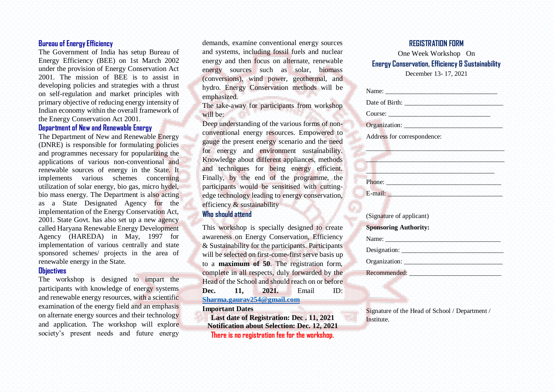#### **Bureau of Energy Efficiency**

The Government of India has setup Bureau of Energy Efficiency (BEE) on 1st March 2002 under the provision of Energy Conservation Act 2001. The mission of BEE is to assist in developing policies and strategies with a thrust on self-regulation and market principles with primary objective of reducing energy intensity of Indian economy within the overall framework of the Energy Conservation Act 2001.

#### **Department of New and Renewable Energy**

The Department of New and Renewable Energy (DNRE) is responsible for formulating policies and programmes necessary for popularizing the applications of various non-conventional and renewable sources of energy in the State. It implements various schemes concerning utilization of solar energy, bio gas, micro hydel, bio mass energy. The Department is also acting as a State Designated Agency for the implementation of the Energy Conservation Act, 2001. State Govt. has also set up a new agency called Haryana Renewable Energy Development Agency (HAREDA) in May, 1997 for implementation of various centrally and state sponsored schemes/ projects in the area of renewable energy in the State.

#### **Objectives**

The workshop is designed to impart the participants with knowledge of energy systems and renewable energy resources, with a scientific examination of the energy field and an emphasis on alternate energy sources and their technology and application. The workshop will explore society's present needs and future energy

demands, examine conventional energy sources and systems, including fossil fuels and nuclear energy and then focus on alternate, renewable energy sources such as solar, biomass (conversions), wind power, geothermal, and hydro. Energy Conservation methods will be emphasized.

The take-away for participants from workshop will be:

Deep understanding of the various forms of nonconventional energy resources. Empowered to gauge the present energy scenario and the need for energy and environment sustainability. Knowledge about different appliances, methods and techniques for being energy efficient. Finally, by the end of the programme, the participants would be sensitised with cuttingedge technology leading to energy conservation, efficiency & sustainability

### **Who should attend**

This workshop is specially designed to create awareness on Energy Conservation, Efficiency & Sustainability for the participants. Participants will be selected on first-come-first serve basis up to a **maximum of 50**. The registration form, complete in all respects, duly forwarded by the Head of the School and should reach on or before **Dec. 11, 2021.** Email ID: **[Sharma.gaurav254@gmail.com](mailto:Sharma.gaurav254@gmail.com)**

#### **Important Dates**

**Last date of Registration: Dec . 11, 2021 Notification about Selection: Dec. 12, 2021 There is no registration fee for the workshop.**

#### **REGISTRATION FORM**

One Week Workshop On **Energy Conservation, Efficiency & Sustainability** December 13- 17, 2021

Name: \_\_\_\_\_\_\_\_\_\_\_\_\_\_\_\_\_\_\_\_\_\_\_\_\_\_\_\_\_\_\_\_\_\_ Date of Birth:  $\Box$ Course:  $\blacksquare$ Organization: \_\_\_\_\_\_\_\_\_\_\_\_\_\_\_\_\_\_\_\_\_\_\_\_\_\_\_\_\_\_ Address for correspondence:  $\mathcal{L}(\mathcal{L}(\mathcal{L})) = \mathcal{L}(\mathcal{L}(\mathcal{L}(\mathcal{L}(\mathcal{L}(\mathcal{L}(\mathcal{L}(\mathcal{L}(\mathcal{L}(\mathcal{L}(\mathcal{L}(\mathcal{L}(\mathcal{L}(\mathcal{L}(\mathcal{L}(\mathcal{L}(\mathcal{L}(\mathcal{L}(\mathcal{L}(\mathcal{L}(\mathcal{L}(\mathcal{L}(\mathcal{L}(\mathcal{L}(\mathcal{L}(\mathcal{L}(\mathcal{L}(\mathcal{L}(\mathcal{L}(\mathcal{L}(\mathcal{L}(\mathcal{L}(\mathcal{L}(\mathcal$  $\mathcal{L}_\text{max}$  , which is the including the including induction in the including term Phone: Alexander and Alexander and Alexander and Alexander E-mail:  $\blacksquare$ (Signature of applicant) **Sponsoring Authority:** Name: and the problem of the problem of the problem of the problem of the problem of the problem of the problem of the  $\mathcal{O}_\mathcal{A}$ Designation:  $\Box$ Organization: \_\_\_\_\_\_\_\_\_\_\_\_\_\_\_\_\_\_\_\_\_\_\_\_\_\_\_\_\_\_ Recommended: \_\_\_\_\_\_\_\_\_\_\_\_\_\_\_\_\_\_\_\_\_\_\_\_\_\_\_\_

Signature of the Head of School / Department / Institute.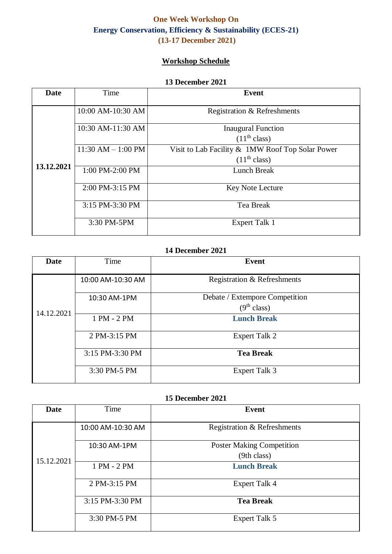# **One Week Workshop On Energy Conservation, Efficiency & Sustainability (ECES-21) (13-17 December 2021)**

# **Workshop Schedule**

#### **13 December 2021**

| <b>Date</b> | Time                   | Event                                            |
|-------------|------------------------|--------------------------------------------------|
|             | 10:00 AM-10:30 AM      | Registration & Refreshments                      |
|             | 10:30 AM-11:30 AM      | <b>Inaugural Function</b>                        |
|             |                        | (11 <sup>th</sup> class)                         |
|             | $11:30$ AM $- 1:00$ PM | Visit to Lab Facility & 1MW Roof Top Solar Power |
| 13.12.2021  |                        | (11 <sup>th</sup> class)                         |
|             | 1:00 PM-2:00 PM        | Lunch Break                                      |
|             | 2:00 PM-3:15 PM        | <b>Key Note Lecture</b>                          |
|             | 3:15 PM-3:30 PM        | Tea Break                                        |
|             | 3:30 PM-5PM            | <b>Expert Talk 1</b>                             |

# **14 December 2021**

| Date       | Time              | <b>Event</b>                   |
|------------|-------------------|--------------------------------|
| 14.12.2021 | 10:00 AM-10:30 AM | Registration & Refreshments    |
|            | 10:30 AM-1PM      | Debate / Extempore Competition |
|            |                   | (9 <sup>th</sup> class)        |
|            | 1 PM - 2 PM       | <b>Lunch Break</b>             |
|            | 2 PM-3:15 PM      | <b>Expert Talk 2</b>           |
|            | 3:15 PM-3:30 PM   | <b>Tea Break</b>               |
|            | 3:30 PM-5 PM      | <b>Expert Talk 3</b>           |

### **15 December 2021**

| <b>Date</b> | Time              | <b>Event</b>                     |
|-------------|-------------------|----------------------------------|
| 15.12.2021  | 10:00 AM-10:30 AM | Registration & Refreshments      |
|             | 10:30 AM-1PM      | <b>Poster Making Competition</b> |
|             |                   | (9th class)                      |
|             | 1 PM - 2 PM       | <b>Lunch Break</b>               |
|             | 2 PM-3:15 PM      | <b>Expert Talk 4</b>             |
|             | 3:15 PM-3:30 PM   | <b>Tea Break</b>                 |
|             | 3:30 PM-5 PM      | <b>Expert Talk 5</b>             |